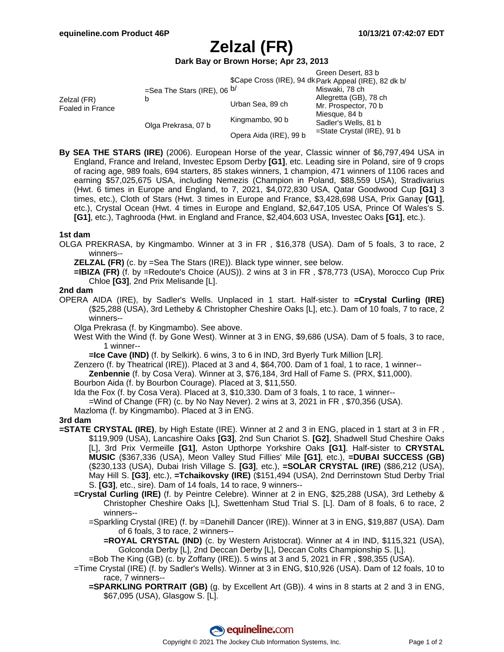# **Zelzal (FR)**

**Dark Bay or Brown Horse; Apr 23, 2013**

|                                 |                                    |                                                       | Green Desert, 83 b                                                     |
|---------------------------------|------------------------------------|-------------------------------------------------------|------------------------------------------------------------------------|
|                                 |                                    | \$Cape Cross (IRE), 94 dk Park Appeal (IRE), 82 dk b/ |                                                                        |
| Zelzal (FR)<br>Foaled in France | =Sea The Stars (IRE), 06 $b/$<br>b |                                                       | Miswaki, 78 ch                                                         |
|                                 |                                    | Urban Sea, 89 ch                                      | Allegretta (GB), 78 ch                                                 |
|                                 |                                    |                                                       | Mr. Prospector, 70 b                                                   |
|                                 | Olga Prekrasa, 07 b                | Kingmambo, 90 b                                       | Miesque, 84 b<br>Sadler's Wells, 81 b<br>$=$ State Crystal (IRE), 91 b |
|                                 |                                    |                                                       |                                                                        |
|                                 |                                    | Opera Aida (IRE), 99 b                                |                                                                        |

**By SEA THE STARS (IRE)** (2006). European Horse of the year, Classic winner of \$6,797,494 USA in England, France and Ireland, Investec Epsom Derby **[G1]**, etc. Leading sire in Poland, sire of 9 crops of racing age, 989 foals, 694 starters, 85 stakes winners, 1 champion, 471 winners of 1106 races and earning \$57,025,675 USA, including Nemezis (Champion in Poland, \$88,559 USA), Stradivarius (Hwt. 6 times in Europe and England, to 7, 2021, \$4,072,830 USA, Qatar Goodwood Cup **[G1]** 3 times, etc.), Cloth of Stars (Hwt. 3 times in Europe and France, \$3,428,698 USA, Prix Ganay **[G1]**, etc.), Crystal Ocean (Hwt. 4 times in Europe and England, \$2,647,105 USA, Prince Of Wales's S. **[G1]**, etc.), Taghrooda (Hwt. in England and France, \$2,404,603 USA, Investec Oaks **[G1]**, etc.).

#### **1st dam**

OLGA PREKRASA, by Kingmambo. Winner at 3 in FR , \$16,378 (USA). Dam of 5 foals, 3 to race, 2 winners--

**ZELZAL (FR)** (c. by =Sea The Stars (IRE)). Black type winner, see below.

**=IBIZA (FR)** (f. by =Redoute's Choice (AUS)). 2 wins at 3 in FR , \$78,773 (USA), Morocco Cup Prix Chloe **[G3]**, 2nd Prix Melisande [L].

#### **2nd dam**

OPERA AIDA (IRE), by Sadler's Wells. Unplaced in 1 start. Half-sister to **=Crystal Curling (IRE)** (\$25,288 (USA), 3rd Letheby & Christopher Cheshire Oaks [L], etc.). Dam of 10 foals, 7 to race, 2 winners--

Olga Prekrasa (f. by Kingmambo). See above.

West With the Wind (f. by Gone West). Winner at 3 in ENG, \$9,686 (USA). Dam of 5 foals, 3 to race, 1 winner--

**=Ice Cave (IND)** (f. by Selkirk). 6 wins, 3 to 6 in IND, 3rd Byerly Turk Million [LR].

Zenzero (f. by Theatrical (IRE)). Placed at 3 and 4, \$64,700. Dam of 1 foal, 1 to race, 1 winner--

**Zenbennie** (f. by Cosa Vera). Winner at 3, \$76,184, 3rd Hall of Fame S. (PRX, \$11,000).

Bourbon Aida (f. by Bourbon Courage). Placed at 3, \$11,550.

Ida the Fox (f. by Cosa Vera). Placed at 3, \$10,330. Dam of 3 foals, 1 to race, 1 winner--

=Wind of Change (FR) (c. by No Nay Never). 2 wins at 3, 2021 in FR , \$70,356 (USA).

Mazloma (f. by Kingmambo). Placed at 3 in ENG.

### **3rd dam**

- **=STATE CRYSTAL (IRE)**, by High Estate (IRE). Winner at 2 and 3 in ENG, placed in 1 start at 3 in FR, \$119,909 (USA), Lancashire Oaks **[G3]**, 2nd Sun Chariot S. **[G2]**, Shadwell Stud Cheshire Oaks [L], 3rd Prix Vermeille **[G1]**, Aston Upthorpe Yorkshire Oaks **[G1]**. Half-sister to **CRYSTAL MUSIC** (\$367,336 (USA), Meon Valley Stud Fillies' Mile **[G1]**, etc.), **=DUBAI SUCCESS (GB)** (\$230,133 (USA), Dubai Irish Village S. **[G3]**, etc.), **=SOLAR CRYSTAL (IRE)** (\$86,212 (USA), May Hill S. **[G3]**, etc.), **=Tchaikovsky (IRE)** (\$151,494 (USA), 2nd Derrinstown Stud Derby Trial S. **[G3]**, etc., sire). Dam of 14 foals, 14 to race, 9 winners--
	- **=Crystal Curling (IRE)** (f. by Peintre Celebre). Winner at 2 in ENG, \$25,288 (USA), 3rd Letheby & Christopher Cheshire Oaks [L], Swettenham Stud Trial S. [L]. Dam of 8 foals, 6 to race, 2 winners--
		- =Sparkling Crystal (IRE) (f. by =Danehill Dancer (IRE)). Winner at 3 in ENG, \$19,887 (USA). Dam of 6 foals, 3 to race, 2 winners--
			- **=ROYAL CRYSTAL (IND)** (c. by Western Aristocrat). Winner at 4 in IND, \$115,321 (USA), Golconda Derby [L], 2nd Deccan Derby [L], Deccan Colts Championship S. [L].

=Bob The King (GB) (c. by Zoffany (IRE)). 5 wins at 3 and 5, 2021 in FR , \$98,355 (USA).

=Time Crystal (IRE) (f. by Sadler's Wells). Winner at 3 in ENG, \$10,926 (USA). Dam of 12 foals, 10 to race, 7 winners--

**=SPARKLING PORTRAIT (GB)** (g. by Excellent Art (GB)). 4 wins in 8 starts at 2 and 3 in ENG, \$67,095 (USA), Glasgow S. [L].